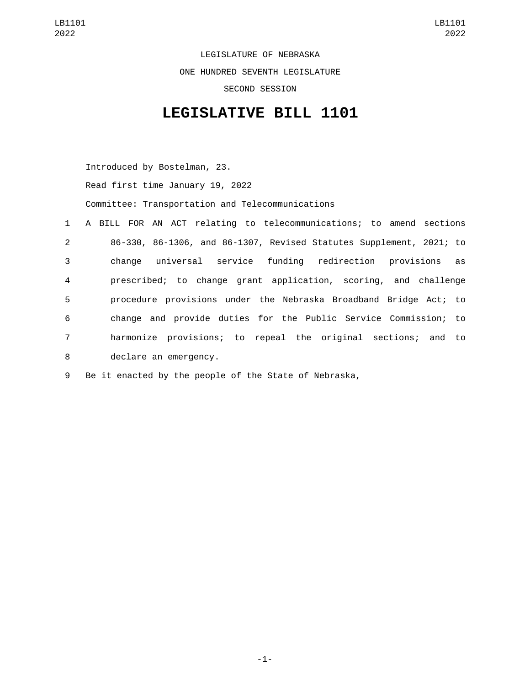LEGISLATURE OF NEBRASKA ONE HUNDRED SEVENTH LEGISLATURE SECOND SESSION

## **LEGISLATIVE BILL 1101**

Introduced by Bostelman, 23.

Read first time January 19, 2022

Committee: Transportation and Telecommunications

 A BILL FOR AN ACT relating to telecommunications; to amend sections 86-330, 86-1306, and 86-1307, Revised Statutes Supplement, 2021; to change universal service funding redirection provisions as prescribed; to change grant application, scoring, and challenge procedure provisions under the Nebraska Broadband Bridge Act; to change and provide duties for the Public Service Commission; to harmonize provisions; to repeal the original sections; and to 8 declare an emergency.

9 Be it enacted by the people of the State of Nebraska,

-1-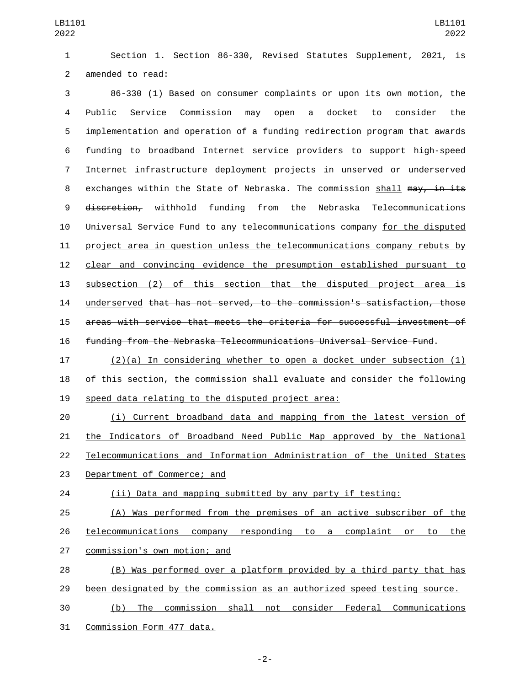Section 1. Section 86-330, Revised Statutes Supplement, 2021, is 2 amended to read:

 86-330 (1) Based on consumer complaints or upon its own motion, the Public Service Commission may open a docket to consider the implementation and operation of a funding redirection program that awards funding to broadband Internet service providers to support high-speed Internet infrastructure deployment projects in unserved or underserved 8 exchanges within the State of Nebraska. The commission shall may, in its 9 <del>discretion,</del> withhold funding from the Nebraska Telecommunications Universal Service Fund to any telecommunications company for the disputed project area in question unless the telecommunications company rebuts by clear and convincing evidence the presumption established pursuant to subsection (2) of this section that the disputed project area is underserved that has not served, to the commission's satisfaction, those areas with service that meets the criteria for successful investment of funding from the Nebraska Telecommunications Universal Service Fund.

 (2)(a) In considering whether to open a docket under subsection (1) of this section, the commission shall evaluate and consider the following 19 speed data relating to the disputed project area:

 (i) Current broadband data and mapping from the latest version of the Indicators of Broadband Need Public Map approved by the National Telecommunications and Information Administration of the United States 23 Department of Commerce; and

(ii) Data and mapping submitted by any party if testing:

 (A) Was performed from the premises of an active subscriber of the telecommunications company responding to a complaint or to the 27 commission's own motion; and

 (B) Was performed over a platform provided by a third party that has been designated by the commission as an authorized speed testing source.

 (b) The commission shall not consider Federal Communications 31 Commission Form 477 data.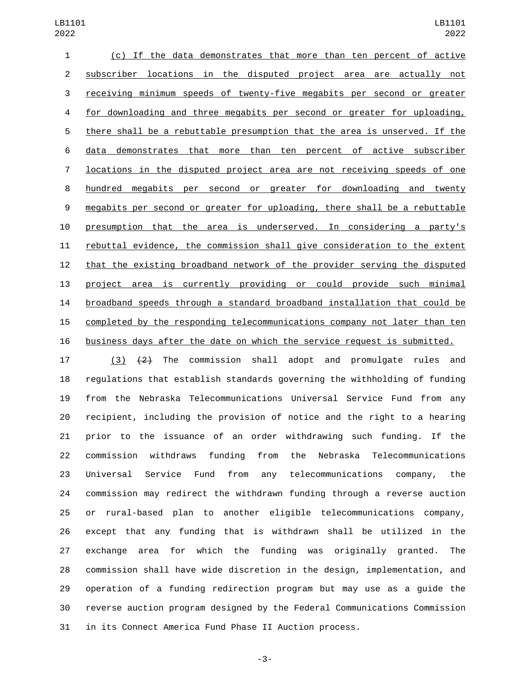(c) If the data demonstrates that more than ten percent of active subscriber locations in the disputed project area are actually not receiving minimum speeds of twenty-five megabits per second or greater for downloading and three megabits per second or greater for uploading, there shall be a rebuttable presumption that the area is unserved. If the data demonstrates that more than ten percent of active subscriber locations in the disputed project area are not receiving speeds of one hundred megabits per second or greater for downloading and twenty megabits per second or greater for uploading, there shall be a rebuttable presumption that the area is underserved. In considering a party's rebuttal evidence, the commission shall give consideration to the extent that the existing broadband network of the provider serving the disputed project area is currently providing or could provide such minimal broadband speeds through a standard broadband installation that could be completed by the responding telecommunications company not later than ten business days after the date on which the service request is submitted.

 (3) (2) The commission shall adopt and promulgate rules and regulations that establish standards governing the withholding of funding from the Nebraska Telecommunications Universal Service Fund from any recipient, including the provision of notice and the right to a hearing prior to the issuance of an order withdrawing such funding. If the commission withdraws funding from the Nebraska Telecommunications Universal Service Fund from any telecommunications company, the commission may redirect the withdrawn funding through a reverse auction or rural-based plan to another eligible telecommunications company, except that any funding that is withdrawn shall be utilized in the exchange area for which the funding was originally granted. The commission shall have wide discretion in the design, implementation, and operation of a funding redirection program but may use as a guide the reverse auction program designed by the Federal Communications Commission in its Connect America Fund Phase II Auction process.

-3-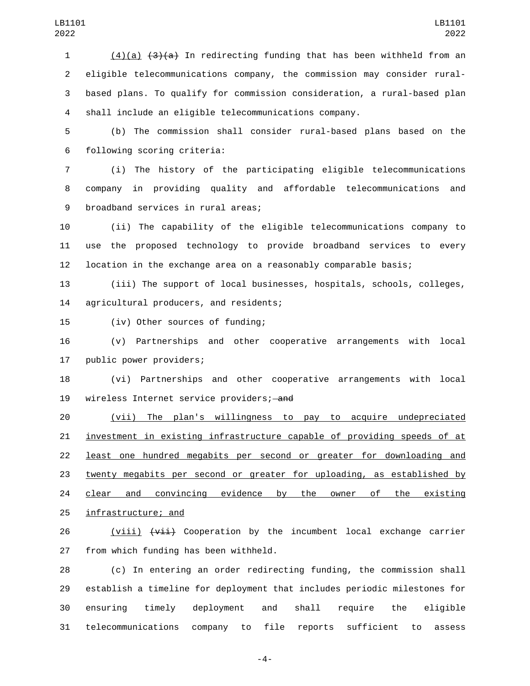1 (4)(a)  $\left(3\right)$  In redirecting funding that has been withheld from an eligible telecommunications company, the commission may consider rural- based plans. To qualify for commission consideration, a rural-based plan shall include an eligible telecommunications company.

 (b) The commission shall consider rural-based plans based on the following scoring criteria:6

 (i) The history of the participating eligible telecommunications company in providing quality and affordable telecommunications and 9 broadband services in rural areas;

 (ii) The capability of the eligible telecommunications company to use the proposed technology to provide broadband services to every location in the exchange area on a reasonably comparable basis;

 (iii) The support of local businesses, hospitals, schools, colleges, 14 agricultural producers, and residents;

15 (iv) Other sources of funding;

 (v) Partnerships and other cooperative arrangements with local 17 public power providers;

 (vi) Partnerships and other cooperative arrangements with local 19 wireless Internet service providers; and

 (vii) The plan's willingness to pay to acquire undepreciated investment in existing infrastructure capable of providing speeds of at least one hundred megabits per second or greater for downloading and twenty megabits per second or greater for uploading, as established by 24 clear and convincing evidence by the owner of the existing 25 infrastructure; and

 $(viii)$   $(viii)$  Cooperation by the incumbent local exchange carrier 27 from which funding has been withheld.

 (c) In entering an order redirecting funding, the commission shall establish a timeline for deployment that includes periodic milestones for ensuring timely deployment and shall require the eligible telecommunications company to file reports sufficient to assess

-4-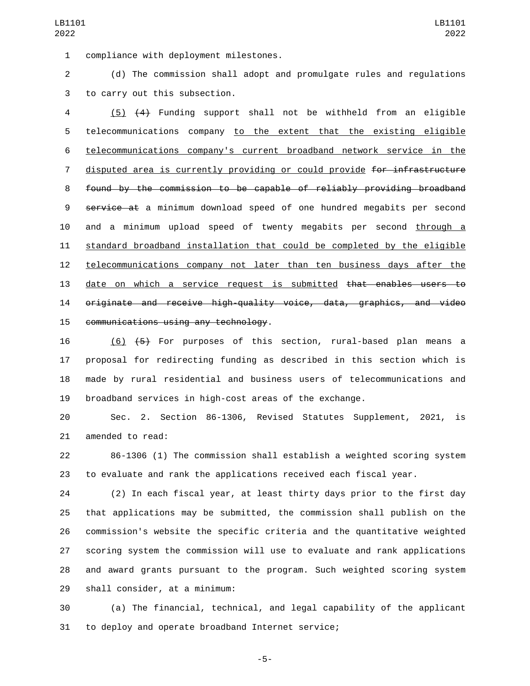1 compliance with deployment milestones.

 (d) The commission shall adopt and promulgate rules and regulations 3 to carry out this subsection.

 (5) (4) Funding support shall not be withheld from an eligible telecommunications company to the extent that the existing eligible telecommunications company's current broadband network service in the 7 disputed area is currently providing or could provide for infrastructure found by the commission to be capable of reliably providing broadband 9 service at a minimum download speed of one hundred megabits per second and a minimum upload speed of twenty megabits per second through a standard broadband installation that could be completed by the eligible telecommunications company not later than ten business days after the date on which a service request is submitted that enables users to originate and receive high-quality voice, data, graphics, and video 15 communications using any technology.

 (6) (5) For purposes of this section, rural-based plan means a proposal for redirecting funding as described in this section which is made by rural residential and business users of telecommunications and broadband services in high-cost areas of the exchange.

 Sec. 2. Section 86-1306, Revised Statutes Supplement, 2021, is 21 amended to read:

 86-1306 (1) The commission shall establish a weighted scoring system to evaluate and rank the applications received each fiscal year.

 (2) In each fiscal year, at least thirty days prior to the first day that applications may be submitted, the commission shall publish on the commission's website the specific criteria and the quantitative weighted scoring system the commission will use to evaluate and rank applications and award grants pursuant to the program. Such weighted scoring system 29 shall consider, at a minimum:

 (a) The financial, technical, and legal capability of the applicant 31 to deploy and operate broadband Internet service;

-5-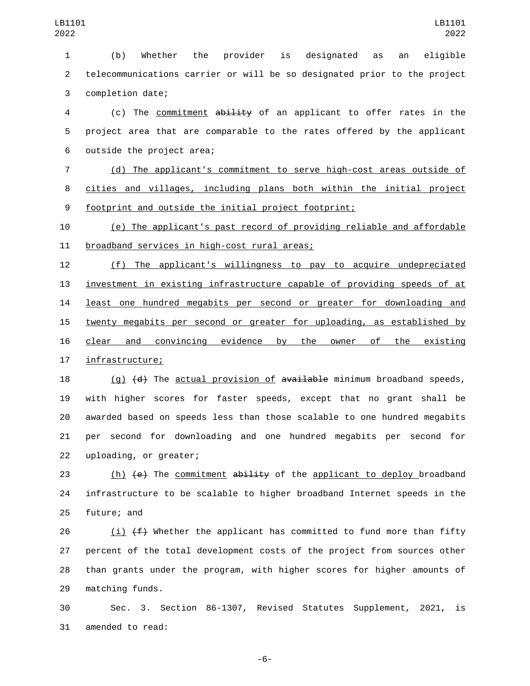(b) Whether the provider is designated as an eligible telecommunications carrier or will be so designated prior to the project 3 completion date;

 (c) The commitment ability of an applicant to offer rates in the project area that are comparable to the rates offered by the applicant 6 outside the project area;

 (d) The applicant's commitment to serve high-cost areas outside of cities and villages, including plans both within the initial project footprint and outside the initial project footprint;

 (e) The applicant's past record of providing reliable and affordable 11 broadband services in high-cost rural areas;

 (f) The applicant's willingness to pay to acquire undepreciated investment in existing infrastructure capable of providing speeds of at least one hundred megabits per second or greater for downloading and twenty megabits per second or greater for uploading, as established by clear and convincing evidence by the owner of the existing 17 infrastructure;

 $(q)$   $(d)$  The actual provision of  $\frac{1}{2}$  available minimum broadband speeds, with higher scores for faster speeds, except that no grant shall be awarded based on speeds less than those scalable to one hundred megabits per second for downloading and one hundred megabits per second for 22 uploading, or greater;

23 (h)  $\left(\text{e}\right)$  The <u>commitment</u> ability of the <u>applicant to deploy</u> broadband infrastructure to be scalable to higher broadband Internet speeds in the 25 future; and

26 (i)  $(f)$  whether the applicant has committed to fund more than fifty percent of the total development costs of the project from sources other than grants under the program, with higher scores for higher amounts of 29 matching funds.

 Sec. 3. Section 86-1307, Revised Statutes Supplement, 2021, is 31 amended to read:

-6-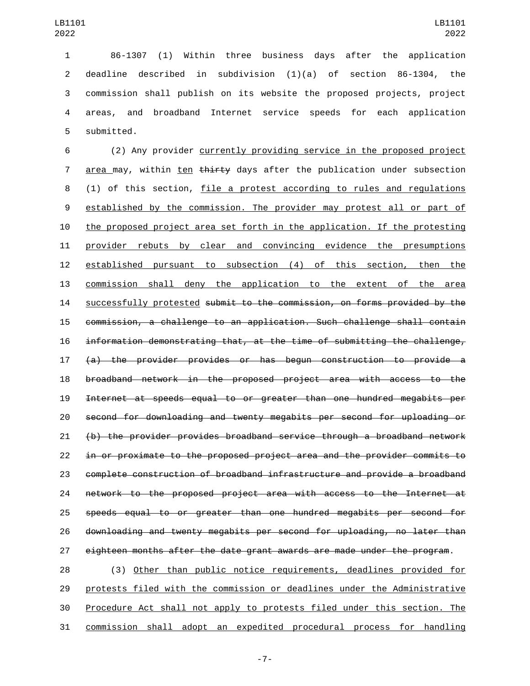86-1307 (1) Within three business days after the application deadline described in subdivision (1)(a) of section 86-1304, the 3 commission shall publish on its website the proposed projects, project areas, and broadband Internet service speeds for each application 5 submitted.

 (2) Any provider currently providing service in the proposed project 7 area may, within ten <del>thirty</del> days after the publication under subsection (1) of this section, file a protest according to rules and regulations established by the commission. The provider may protest all or part of the proposed project area set forth in the application. If the protesting provider rebuts by clear and convincing evidence the presumptions established pursuant to subsection (4) of this section, then the commission shall deny the application to the extent of the area successfully protested submit to the commission, on forms provided by the commission, a challenge to an application. Such challenge shall contain information demonstrating that, at the time of submitting the challenge, (a) the provider provides or has begun construction to provide a broadband network in the proposed project area with access to the Internet at speeds equal to or greater than one hundred megabits per second for downloading and twenty megabits per second for uploading or (b) the provider provides broadband service through a broadband network in or proximate to the proposed project area and the provider commits to complete construction of broadband infrastructure and provide a broadband network to the proposed project area with access to the Internet at speeds equal to or greater than one hundred megabits per second for downloading and twenty megabits per second for uploading, no later than eighteen months after the date grant awards are made under the program.

 (3) Other than public notice requirements, deadlines provided for protests filed with the commission or deadlines under the Administrative Procedure Act shall not apply to protests filed under this section. The commission shall adopt an expedited procedural process for handling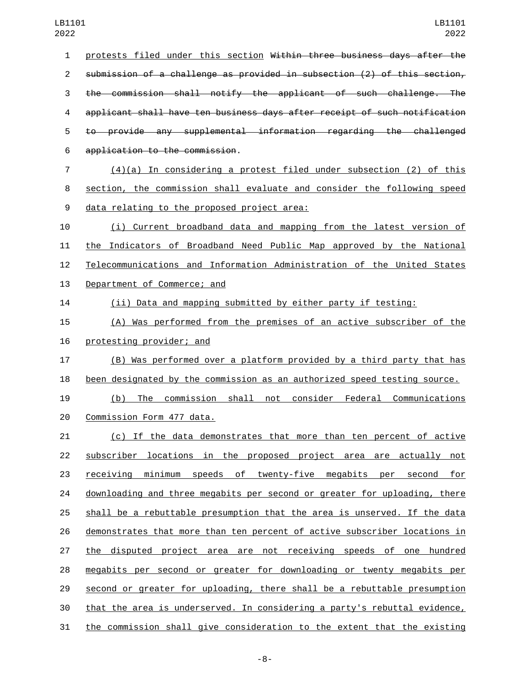protests filed under this section Within three business days after the submission of a challenge as provided in subsection (2) of this section, the commission shall notify the applicant of such challenge. The applicant shall have ten business days after receipt of such notification to provide any supplemental information regarding the challenged application to the commission.6 (4)(a) In considering a protest filed under subsection (2) of this section, the commission shall evaluate and consider the following speed 9 data relating to the proposed project area: (i) Current broadband data and mapping from the latest version of the Indicators of Broadband Need Public Map approved by the National Telecommunications and Information Administration of the United States 13 Department of Commerce; and (ii) Data and mapping submitted by either party if testing: (A) Was performed from the premises of an active subscriber of the 16 protesting provider; and (B) Was performed over a platform provided by a third party that has been designated by the commission as an authorized speed testing source. (b) The commission shall not consider Federal Communications 20 Commission Form 477 data. (c) If the data demonstrates that more than ten percent of active subscriber locations in the proposed project area are actually not receiving minimum speeds of twenty-five megabits per second for downloading and three megabits per second or greater for uploading, there shall be a rebuttable presumption that the area is unserved. If the data demonstrates that more than ten percent of active subscriber locations in the disputed project area are not receiving speeds of one hundred megabits per second or greater for downloading or twenty megabits per second or greater for uploading, there shall be a rebuttable presumption that the area is underserved. In considering a party's rebuttal evidence,

the commission shall give consideration to the extent that the existing